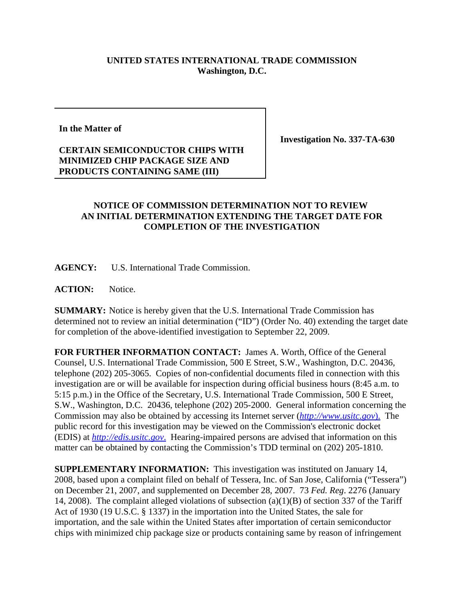## **UNITED STATES INTERNATIONAL TRADE COMMISSION Washington, D.C.**

**In the Matter of**

## **CERTAIN SEMICONDUCTOR CHIPS WITH MINIMIZED CHIP PACKAGE SIZE AND PRODUCTS CONTAINING SAME (III)**

**Investigation No. 337-TA-630**

## **NOTICE OF COMMISSION DETERMINATION NOT TO REVIEW AN INITIAL DETERMINATION EXTENDING THE TARGET DATE FOR COMPLETION OF THE INVESTIGATION**

**AGENCY:** U.S. International Trade Commission.

**ACTION:** Notice.

**SUMMARY:** Notice is hereby given that the U.S. International Trade Commission has determined not to review an initial determination ("ID") (Order No. 40) extending the target date for completion of the above-identified investigation to September 22, 2009.

**FOR FURTHER INFORMATION CONTACT:** James A. Worth, Office of the General Counsel, U.S. International Trade Commission, 500 E Street, S.W., Washington, D.C. 20436, telephone (202) 205-3065. Copies of non-confidential documents filed in connection with this investigation are or will be available for inspection during official business hours (8:45 a.m. to 5:15 p.m.) in the Office of the Secretary, U.S. International Trade Commission, 500 E Street, S.W., Washington, D.C. 20436, telephone (202) 205-2000. General information concerning the Commission may also be obtained by accessing its Internet server (*http://www.usitc.gov*). The public record for this investigation may be viewed on the Commission's electronic docket (EDIS) at *http://edis.usitc.gov*. Hearing-impaired persons are advised that information on this matter can be obtained by contacting the Commission's TDD terminal on (202) 205-1810.

**SUPPLEMENTARY INFORMATION:** This investigation was instituted on January 14, 2008, based upon a complaint filed on behalf of Tessera, Inc. of San Jose, California ("Tessera") on December 21, 2007, and supplemented on December 28, 2007. 73 *Fed. Reg*. 2276 (January 14, 2008). The complaint alleged violations of subsection (a)(1)(B) of section 337 of the Tariff Act of 1930 (19 U.S.C. § 1337) in the importation into the United States, the sale for importation, and the sale within the United States after importation of certain semiconductor chips with minimized chip package size or products containing same by reason of infringement